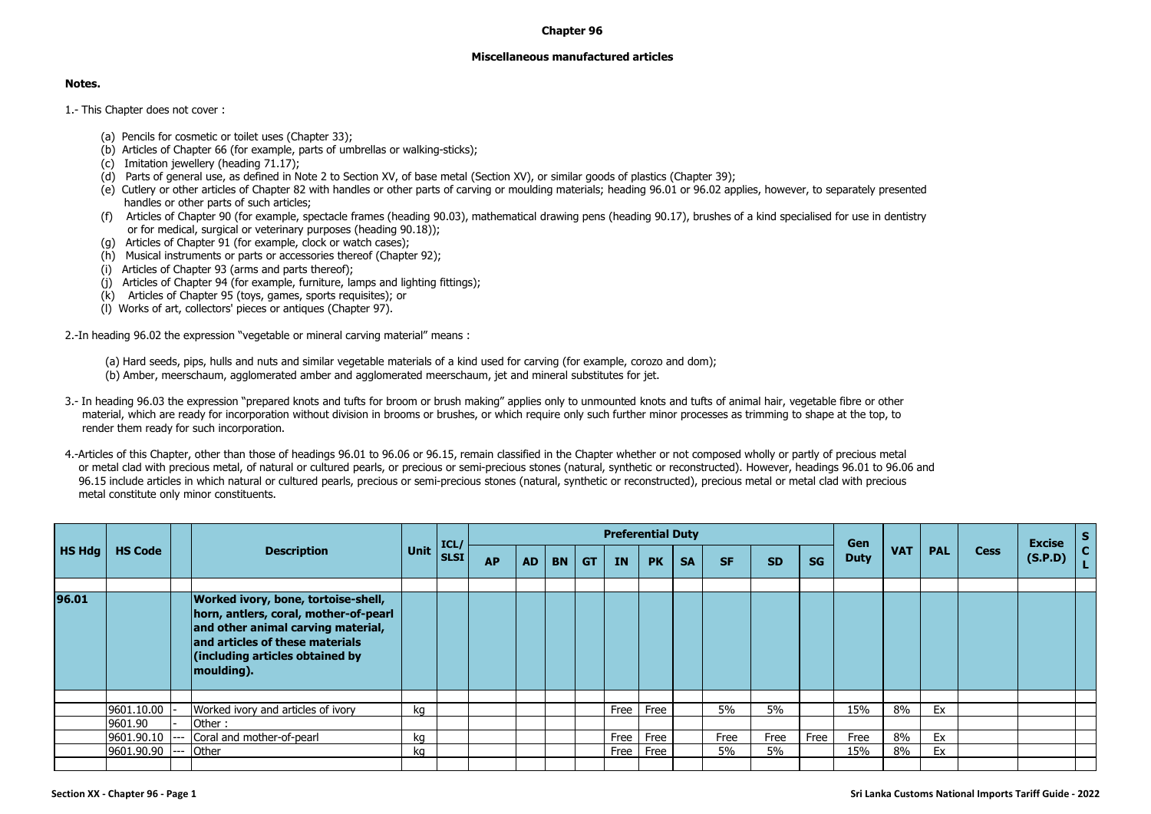## **Chapter 96**

## **Miscellaneous manufactured articles**

## **Notes.**

1.- This Chapter does not cover :

- (a) Pencils for cosmetic or toilet uses (Chapter 33);
- (b) Articles of Chapter 66 (for example, parts of umbrellas or walking-sticks);
- (c) Imitation jewellery (heading 71.17);
- (d) Parts of general use, as defined in Note 2 to Section XV, of base metal (Section XV), or similar goods of plastics (Chapter 39);
- (e) Cutlery or other articles of Chapter 82 with handles or other parts of carving or moulding materials; heading 96.01 or 96.02 applies, however, to separately presented handles or other parts of such articles;
- (f) Articles of Chapter 90 (for example, spectacle frames (heading 90.03), mathematical drawing pens (heading 90.17), brushes of a kind specialised for use in dentistry or for medical, surgical or veterinary purposes (heading 90.18));
- (g) Articles of Chapter 91 (for example, clock or watch cases);
- (h) Musical instruments or parts or accessories thereof (Chapter 92);
- (i) Articles of Chapter 93 (arms and parts thereof);
- $(i)$  Articles of Chapter 94 (for example, furniture, lamps and lighting fittings);
- (k) Articles of Chapter 95 (toys, games, sports requisites); or
- (l) Works of art, collectors' pieces or antiques (Chapter 97).

2.-In heading 96.02 the expression "vegetable or mineral carving material" means :

(a) Hard seeds, pips, hulls and nuts and similar vegetable materials of a kind used for carving (for example, corozo and dom);

- (b) Amber, meerschaum, agglomerated amber and agglomerated meerschaum, jet and mineral substitutes for jet.
- 3.- In heading 96.03 the expression "prepared knots and tufts for broom or brush making" applies only to unmounted knots and tufts of animal hair, vegetable fibre or other material, which are ready for incorporation without division in brooms or brushes, or which require only such further minor processes as trimming to shape at the top, to render them ready for such incorporation.

4.-Articles of this Chapter, other than those of headings 96.01 to 96.06 or 96.15, remain classified in the Chapter whether or not composed wholly or partly of precious metal or metal clad with precious metal, of natural or cultured pearls, or precious or semi-precious stones (natural, synthetic or reconstructed). However, headings 96.01 to 96.06 and 96.15 include articles in which natural or cultured pearls, precious or semi-precious stones (natural, synthetic or reconstructed), precious metal or metal clad with precious metal constitute only minor constituents.

|           |                |                                                                                                                                                                                                        |             | ICL/        |           |           |           |           | <b>Preferential Duty</b> |           |           |           |           |           | Gen         |            |            |             | <b>Excise</b> | S. |
|-----------|----------------|--------------------------------------------------------------------------------------------------------------------------------------------------------------------------------------------------------|-------------|-------------|-----------|-----------|-----------|-----------|--------------------------|-----------|-----------|-----------|-----------|-----------|-------------|------------|------------|-------------|---------------|----|
| $H$ S Hdg | <b>HS Code</b> | <b>Description</b>                                                                                                                                                                                     | <b>Unit</b> | <b>SLSI</b> | <b>AP</b> | <b>AD</b> | <b>BN</b> | <b>GT</b> | IN                       | <b>PK</b> | <b>SA</b> | <b>SF</b> | <b>SD</b> | <b>SG</b> | <b>Duty</b> | <b>VAT</b> | <b>PAL</b> | <b>Cess</b> | (S.P.D)       | C. |
|           |                |                                                                                                                                                                                                        |             |             |           |           |           |           |                          |           |           |           |           |           |             |            |            |             |               |    |
| 96.01     |                | Worked ivory, bone, tortoise-shell,<br>horn, antlers, coral, mother-of-pearl<br>and other animal carving material,<br>and articles of these materials<br>(including articles obtained by<br>moulding). |             |             |           |           |           |           |                          |           |           |           |           |           |             |            |            |             |               |    |
|           |                |                                                                                                                                                                                                        |             |             |           |           |           |           |                          |           |           |           |           |           |             |            |            |             |               |    |
|           | 9601.10.00     | Worked ivory and articles of ivory                                                                                                                                                                     | kg          |             |           |           |           |           | Free                     | Free      |           | 5%        | 5%        |           | 15%         | 8%         | Ex         |             |               |    |
|           | 9601.90        | Other:                                                                                                                                                                                                 |             |             |           |           |           |           |                          |           |           |           |           |           |             |            |            |             |               |    |
|           | 9601.90.10     | Coral and mother-of-pearl                                                                                                                                                                              | kg          |             |           |           |           |           | Free                     | Free      |           | Free      | Free      | Free      | Free        | 8%         | Ex         |             |               |    |
|           | 9601.90.90     | <b>Other</b>                                                                                                                                                                                           | kg          |             |           |           |           |           | Free                     | Free      |           | 5%        | 5%        |           | 15%         | 8%         | Ex         |             |               |    |
|           |                |                                                                                                                                                                                                        |             |             |           |           |           |           |                          |           |           |           |           |           |             |            |            |             |               |    |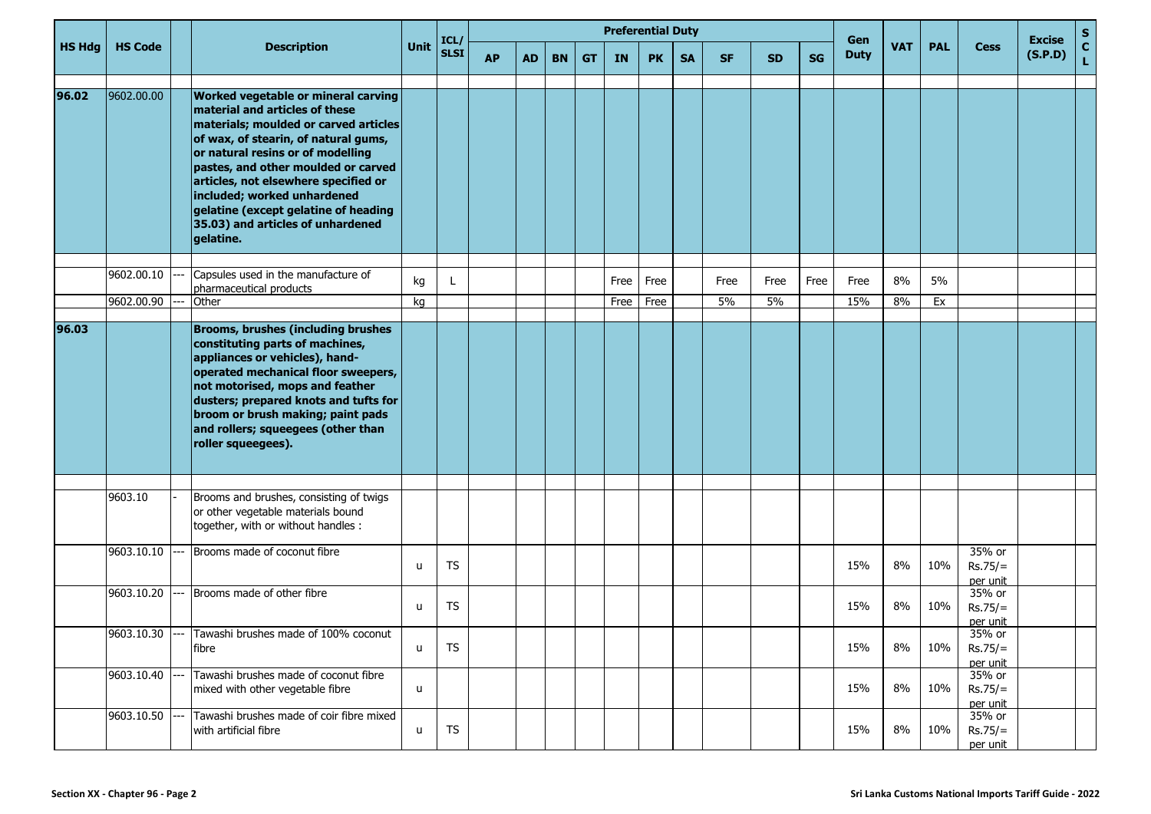|        |                |                                                                                                                                                                                                                                                                                                                                                                                                     |          | ICL/        |           |           |           |           |              | <b>Preferential Duty</b> |           |            |            |           | Gen         |            |            |                                 | <b>Excise</b> | S                  |
|--------|----------------|-----------------------------------------------------------------------------------------------------------------------------------------------------------------------------------------------------------------------------------------------------------------------------------------------------------------------------------------------------------------------------------------------------|----------|-------------|-----------|-----------|-----------|-----------|--------------|--------------------------|-----------|------------|------------|-----------|-------------|------------|------------|---------------------------------|---------------|--------------------|
| HS Hdg | <b>HS Code</b> | <b>Description</b>                                                                                                                                                                                                                                                                                                                                                                                  | Unit     | <b>SLSI</b> | <b>AP</b> | <b>AD</b> | <b>BN</b> | <b>GT</b> | <b>IN</b>    | <b>PK</b>                | <b>SA</b> | <b>SF</b>  | <b>SD</b>  | <b>SG</b> | <b>Duty</b> | <b>VAT</b> | <b>PAL</b> | <b>Cess</b>                     | (S.P.D)       | $\mathbf{C}$<br>L. |
| 96.02  | 9602.00.00     | Worked vegetable or mineral carving<br>material and articles of these<br>materials; moulded or carved articles<br>of wax, of stearin, of natural gums,<br>or natural resins or of modelling<br>pastes, and other moulded or carved<br>articles, not elsewhere specified or<br>included; worked unhardened<br>gelatine (except gelatine of heading<br>35.03) and articles of unhardened<br>gelatine. |          |             |           |           |           |           |              |                          |           |            |            |           |             |            |            |                                 |               |                    |
|        | 9602.00.10     | Capsules used in the manufacture of                                                                                                                                                                                                                                                                                                                                                                 |          |             |           |           |           |           |              |                          |           |            |            |           |             | 8%         | 5%         |                                 |               |                    |
|        | 9602.00.90     | pharmaceutical products<br>Other                                                                                                                                                                                                                                                                                                                                                                    | kg<br>kg |             |           |           |           |           | Free<br>Free | Free<br>Free             |           | Free<br>5% | Free<br>5% | Free      | Free<br>15% | 8%         | Ex         |                                 |               |                    |
|        |                |                                                                                                                                                                                                                                                                                                                                                                                                     |          |             |           |           |           |           |              |                          |           |            |            |           |             |            |            |                                 |               |                    |
| 96.03  |                | <b>Brooms, brushes (including brushes</b><br>constituting parts of machines,<br>appliances or vehicles), hand-<br>operated mechanical floor sweepers,<br>not motorised, mops and feather<br>dusters; prepared knots and tufts for<br>broom or brush making; paint pads<br>and rollers; squeegees (other than<br>roller squeegees).                                                                  |          |             |           |           |           |           |              |                          |           |            |            |           |             |            |            |                                 |               |                    |
|        |                |                                                                                                                                                                                                                                                                                                                                                                                                     |          |             |           |           |           |           |              |                          |           |            |            |           |             |            |            |                                 |               |                    |
|        | 9603.10        | Brooms and brushes, consisting of twigs<br>or other vegetable materials bound<br>together, with or without handles :                                                                                                                                                                                                                                                                                |          |             |           |           |           |           |              |                          |           |            |            |           |             |            |            |                                 |               |                    |
|        | 9603.10.10     | Brooms made of coconut fibre                                                                                                                                                                                                                                                                                                                                                                        | u        | TS          |           |           |           |           |              |                          |           |            |            |           | 15%         | 8%         | 10%        | 35% or<br>$Rs.75/=$<br>per unit |               |                    |
|        | 9603.10.20     | Brooms made of other fibre                                                                                                                                                                                                                                                                                                                                                                          | u        | TS          |           |           |           |           |              |                          |           |            |            |           | 15%         | 8%         | 10%        | 35% or<br>$Rs.75/=$<br>per unit |               |                    |
|        |                | 9603.10.30 --- Tawashi brushes made of 100% coconut<br>fibre                                                                                                                                                                                                                                                                                                                                        | u        | TS          |           |           |           |           |              |                          |           |            |            |           | 15%         | 8%         | 10%        | 35% or<br>$Rs.75/=$<br>per unit |               |                    |
|        | 9603.10.40     | Tawashi brushes made of coconut fibre<br>mixed with other vegetable fibre                                                                                                                                                                                                                                                                                                                           | u        |             |           |           |           |           |              |                          |           |            |            |           | 15%         | 8%         | 10%        | 35% or<br>$Rs.75/=$<br>per unit |               |                    |
|        | 9603.10.50     | Tawashi brushes made of coir fibre mixed<br>with artificial fibre                                                                                                                                                                                                                                                                                                                                   | u        | <b>TS</b>   |           |           |           |           |              |                          |           |            |            |           | 15%         | 8%         | 10%        | 35% or<br>$Rs.75/=$<br>per unit |               |                    |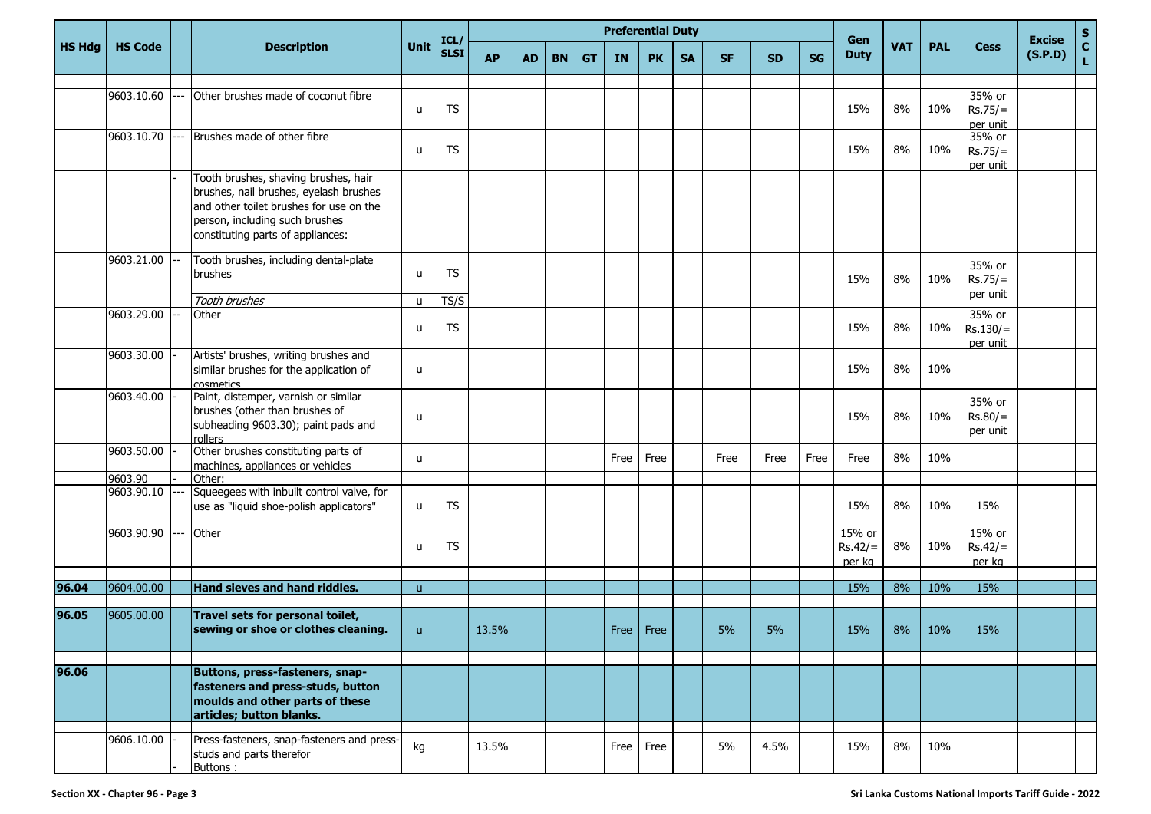|               |                |                                                                                                                                                                                                  |              | ICL/        |           |           |           |           |           | <b>Preferential Duty</b> |           |           |           |           | Gen                           |            |            |                                  | <b>Excise</b> | S            |
|---------------|----------------|--------------------------------------------------------------------------------------------------------------------------------------------------------------------------------------------------|--------------|-------------|-----------|-----------|-----------|-----------|-----------|--------------------------|-----------|-----------|-----------|-----------|-------------------------------|------------|------------|----------------------------------|---------------|--------------|
| <b>HS Hdg</b> | <b>HS Code</b> | <b>Description</b>                                                                                                                                                                               | <b>Unit</b>  | <b>SLSI</b> | <b>AP</b> | <b>AD</b> | <b>BN</b> | <b>GT</b> | <b>IN</b> | <b>PK</b>                | <b>SA</b> | <b>SF</b> | <b>SD</b> | <b>SG</b> | <b>Duty</b>                   | <b>VAT</b> | <b>PAL</b> | <b>Cess</b>                      | (S.P.D)       | $\mathbf{C}$ |
|               |                |                                                                                                                                                                                                  |              |             |           |           |           |           |           |                          |           |           |           |           |                               |            |            |                                  |               |              |
|               | 9603.10.60     | Other brushes made of coconut fibre                                                                                                                                                              | u            | TS          |           |           |           |           |           |                          |           |           |           |           | 15%                           | 8%         | 10%        | 35% or<br>$Rs.75/=$<br>per unit  |               |              |
|               | 9603.10.70     | Brushes made of other fibre                                                                                                                                                                      | u            | TS          |           |           |           |           |           |                          |           |           |           |           | 15%                           | 8%         | 10%        | 35% or<br>$Rs.75/=$<br>per unit  |               |              |
|               |                | Tooth brushes, shaving brushes, hair<br>brushes, nail brushes, eyelash brushes<br>and other toilet brushes for use on the<br>person, including such brushes<br>constituting parts of appliances: |              |             |           |           |           |           |           |                          |           |           |           |           |                               |            |            |                                  |               |              |
|               | 9603.21.00     | Tooth brushes, including dental-plate<br>brushes                                                                                                                                                 | u            | TS          |           |           |           |           |           |                          |           |           |           |           | 15%                           | 8%         | 10%        | 35% or<br>$Rs.75/=$              |               |              |
|               |                | Tooth brushes                                                                                                                                                                                    | u            | TS/S        |           |           |           |           |           |                          |           |           |           |           |                               |            |            | per unit                         |               |              |
|               | 9603.29.00     | Other                                                                                                                                                                                            | u            | <b>TS</b>   |           |           |           |           |           |                          |           |           |           |           | 15%                           | 8%         | 10%        | 35% or<br>$Rs.130/=$<br>per unit |               |              |
|               | 9603.30.00     | Artists' brushes, writing brushes and<br>similar brushes for the application of<br>cosmetics                                                                                                     | u            |             |           |           |           |           |           |                          |           |           |           |           | 15%                           | 8%         | 10%        |                                  |               |              |
|               | 9603.40.00     | Paint, distemper, varnish or similar<br>brushes (other than brushes of<br>subheading 9603.30); paint pads and<br>rollers                                                                         | u            |             |           |           |           |           |           |                          |           |           |           |           | 15%                           | 8%         | 10%        | 35% or<br>$Rs.80/=$<br>per unit  |               |              |
|               | 9603.50.00     | Other brushes constituting parts of<br>machines, appliances or vehicles                                                                                                                          | u            |             |           |           |           |           | Free      | Free                     |           | Free      | Free      | Free      | Free                          | 8%         | 10%        |                                  |               |              |
|               | 9603.90        | Other:                                                                                                                                                                                           |              |             |           |           |           |           |           |                          |           |           |           |           |                               |            |            |                                  |               |              |
|               | 9603.90.10     | Squeegees with inbuilt control valve, for<br>use as "liquid shoe-polish applicators"                                                                                                             | u            | TS          |           |           |           |           |           |                          |           |           |           |           | 15%                           | 8%         | 10%        | 15%                              |               |              |
|               | 9603.90.90     | Other                                                                                                                                                                                            | u            | TS          |           |           |           |           |           |                          |           |           |           |           | 15% or<br>$Rs.42/=$<br>per kg | 8%         | 10%        | 15% or<br>$Rs.42/=$<br>per kg    |               |              |
| 96.04         | 9604.00.00     | Hand sieves and hand riddles.                                                                                                                                                                    |              |             |           |           |           |           |           |                          |           |           |           |           | 15%                           | 8%         | 10%        | 15%                              |               |              |
|               |                |                                                                                                                                                                                                  | $\mathsf{u}$ |             |           |           |           |           |           |                          |           |           |           |           |                               |            |            |                                  |               |              |
| 96.05         | 9605.00.00     | Travel sets for personal toilet,<br>sewing or shoe or clothes cleaning.                                                                                                                          | $\mathsf{u}$ |             | 13.5%     |           |           |           |           | Free   Free              |           | 5%        | 5%        |           | 15%                           | 8%         | 10%        | 15%                              |               |              |
| 96.06         |                | Buttons, press-fasteners, snap-<br>fasteners and press-studs, button<br>moulds and other parts of these<br>articles; button blanks.                                                              |              |             |           |           |           |           |           |                          |           |           |           |           |                               |            |            |                                  |               |              |
|               | 9606.10.00     | Press-fasteners, snap-fasteners and press-<br>studs and parts therefor<br>Buttons:                                                                                                               | kg           |             | 13.5%     |           |           |           |           | Free Free                |           | 5%        | 4.5%      |           | 15%                           | 8%         | 10%        |                                  |               |              |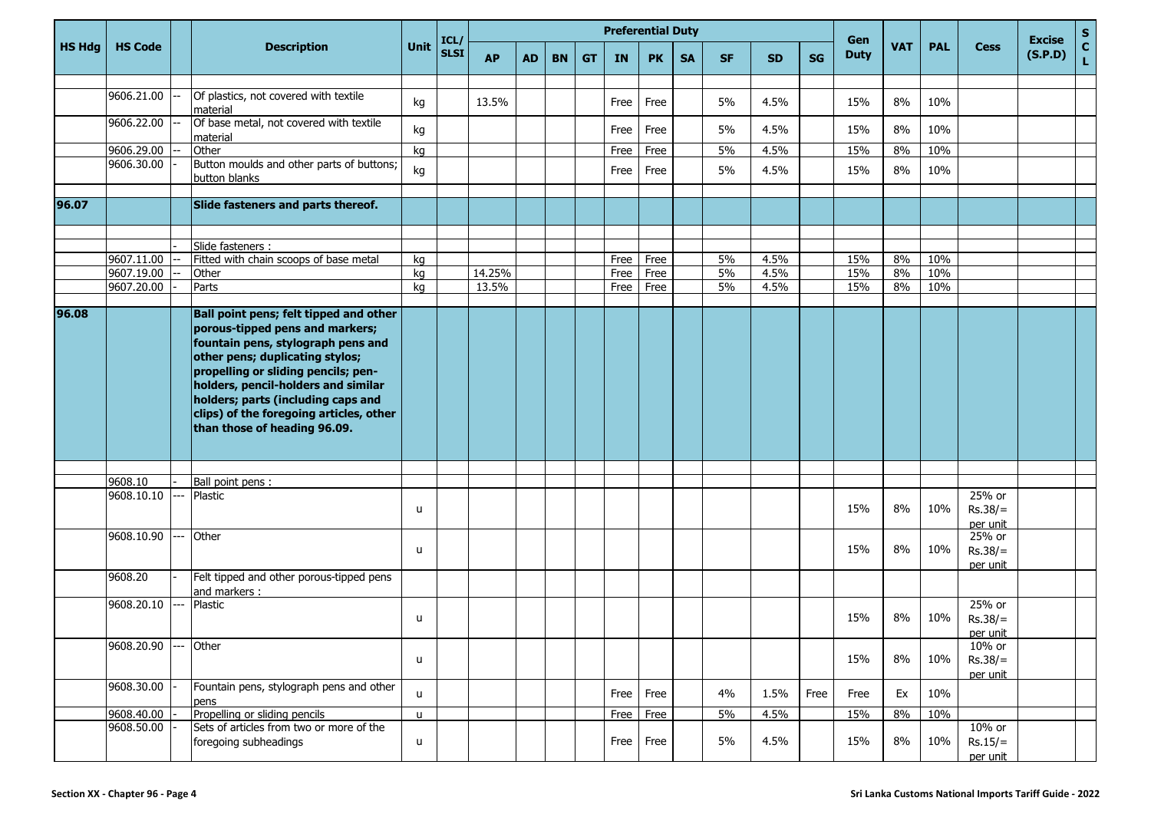|               |                          |                                                                                                                                                                                                                                                                                                                                                                                   |              |                     |                 |           |           |           |              | <b>Preferential Duty</b> |           |           |              |           |                    |            |            |                                 | <b>Excise</b> |             |
|---------------|--------------------------|-----------------------------------------------------------------------------------------------------------------------------------------------------------------------------------------------------------------------------------------------------------------------------------------------------------------------------------------------------------------------------------|--------------|---------------------|-----------------|-----------|-----------|-----------|--------------|--------------------------|-----------|-----------|--------------|-----------|--------------------|------------|------------|---------------------------------|---------------|-------------|
| <b>HS Hdg</b> | <b>HS Code</b>           | <b>Description</b>                                                                                                                                                                                                                                                                                                                                                                | Unit         | ICL/<br><b>SLSI</b> | <b>AP</b>       | <b>AD</b> | <b>BN</b> | <b>GT</b> | <b>IN</b>    | <b>PK</b>                | <b>SA</b> | <b>SF</b> | <b>SD</b>    | <b>SG</b> | Gen<br><b>Duty</b> | <b>VAT</b> | <b>PAL</b> | <b>Cess</b>                     | (S.P.D)       | S<br>C<br>L |
|               |                          |                                                                                                                                                                                                                                                                                                                                                                                   |              |                     |                 |           |           |           |              |                          |           |           |              |           |                    |            |            |                                 |               |             |
|               | 9606.21.00               | Of plastics, not covered with textile<br>material                                                                                                                                                                                                                                                                                                                                 | kg           |                     | 13.5%           |           |           |           | Free         | Free                     |           | 5%        | 4.5%         |           | 15%                | 8%         | 10%        |                                 |               |             |
|               | 9606.22.00               | Of base metal, not covered with textile<br>material                                                                                                                                                                                                                                                                                                                               | kg           |                     |                 |           |           |           | Free         | Free                     |           | 5%        | 4.5%         |           | 15%                | 8%         | 10%        |                                 |               |             |
|               | 9606.29.00               | Other                                                                                                                                                                                                                                                                                                                                                                             | ka           |                     |                 |           |           |           | Free         | Free                     |           | 5%        | 4.5%         |           | 15%                | 8%         | 10%        |                                 |               |             |
|               | 9606.30.00               | Button moulds and other parts of buttons;<br>button blanks                                                                                                                                                                                                                                                                                                                        | kg           |                     |                 |           |           |           | Free         | Free                     |           | 5%        | 4.5%         |           | 15%                | $8\%$      | 10%        |                                 |               |             |
| 96.07         |                          | Slide fasteners and parts thereof.                                                                                                                                                                                                                                                                                                                                                |              |                     |                 |           |           |           |              |                          |           |           |              |           |                    |            |            |                                 |               |             |
|               |                          |                                                                                                                                                                                                                                                                                                                                                                                   |              |                     |                 |           |           |           |              |                          |           |           |              |           |                    |            |            |                                 |               |             |
|               |                          | Slide fasteners :                                                                                                                                                                                                                                                                                                                                                                 |              |                     |                 |           |           |           |              |                          |           |           |              |           |                    |            |            |                                 |               |             |
|               | 9607.11.00               | Fitted with chain scoops of base metal                                                                                                                                                                                                                                                                                                                                            | kg           |                     |                 |           |           |           | Free         | Free                     |           | 5%        | 4.5%         |           | 15%                | 8%         | 10%        |                                 |               |             |
|               | 9607.19.00<br>9607.20.00 | Other<br>Parts                                                                                                                                                                                                                                                                                                                                                                    | kg<br>kg     |                     | 14.25%<br>13.5% |           |           |           | Free<br>Free | Free<br>Free             |           | 5%<br>5%  | 4.5%<br>4.5% |           | 15%<br>15%         | 8%<br>8%   | 10%<br>10% |                                 |               |             |
|               |                          |                                                                                                                                                                                                                                                                                                                                                                                   |              |                     |                 |           |           |           |              |                          |           |           |              |           |                    |            |            |                                 |               |             |
| 96.08         | 9608.10<br>9608.10.10    | Ball point pens; felt tipped and other<br>porous-tipped pens and markers;<br>fountain pens, stylograph pens and<br>other pens; duplicating stylos;<br>propelling or sliding pencils; pen-<br>holders, pencil-holders and similar<br>holders; parts (including caps and<br>clips) of the foregoing articles, other<br>than those of heading 96.09.<br>Ball point pens :<br>Plastic | u            |                     |                 |           |           |           |              |                          |           |           |              |           | 15%                | 8%         | 10%        | 25% or<br>$Rs.38/=$<br>per unit |               |             |
|               | 9608.10.90<br>9608.20    | Other<br>Felt tipped and other porous-tipped pens                                                                                                                                                                                                                                                                                                                                 | u            |                     |                 |           |           |           |              |                          |           |           |              |           | 15%                | 8%         | 10%        | 25% or<br>$Rs.38/=$<br>per unit |               |             |
|               |                          | and markers :                                                                                                                                                                                                                                                                                                                                                                     |              |                     |                 |           |           |           |              |                          |           |           |              |           |                    |            |            |                                 |               |             |
|               | 9608.20.10               | Plastic                                                                                                                                                                                                                                                                                                                                                                           | $\sf u$      |                     |                 |           |           |           |              |                          |           |           |              |           | 15%                | 8%         | 10%        | 25% or<br>$Rs.38/=$<br>per unit |               |             |
|               | 9608.20.90               | Other                                                                                                                                                                                                                                                                                                                                                                             | $\mathsf{u}$ |                     |                 |           |           |           |              |                          |           |           |              |           | 15%                | 8%         | 10%        | 10% or<br>$Rs.38/=$<br>per unit |               |             |
|               | 9608.30.00               | Fountain pens, stylograph pens and other<br>pens                                                                                                                                                                                                                                                                                                                                  | $\mathsf{u}$ |                     |                 |           |           |           | Free         | Free                     |           | 4%        | 1.5%         | Free      | Free               | Ex         | 10%        |                                 |               |             |
|               | 9608.40.00               | Propelling or sliding pencils                                                                                                                                                                                                                                                                                                                                                     | $\mathsf{u}$ |                     |                 |           |           |           |              | Free Free                |           | 5%        | 4.5%         |           | 15%                | $8\%$      | 10%        |                                 |               |             |
|               | 9608.50.00               | Sets of articles from two or more of the<br>foregoing subheadings                                                                                                                                                                                                                                                                                                                 | u            |                     |                 |           |           |           | Free         | Free                     |           | 5%        | 4.5%         |           | 15%                | 8%         | 10%        | 10% or<br>$Rs.15/=$<br>per unit |               |             |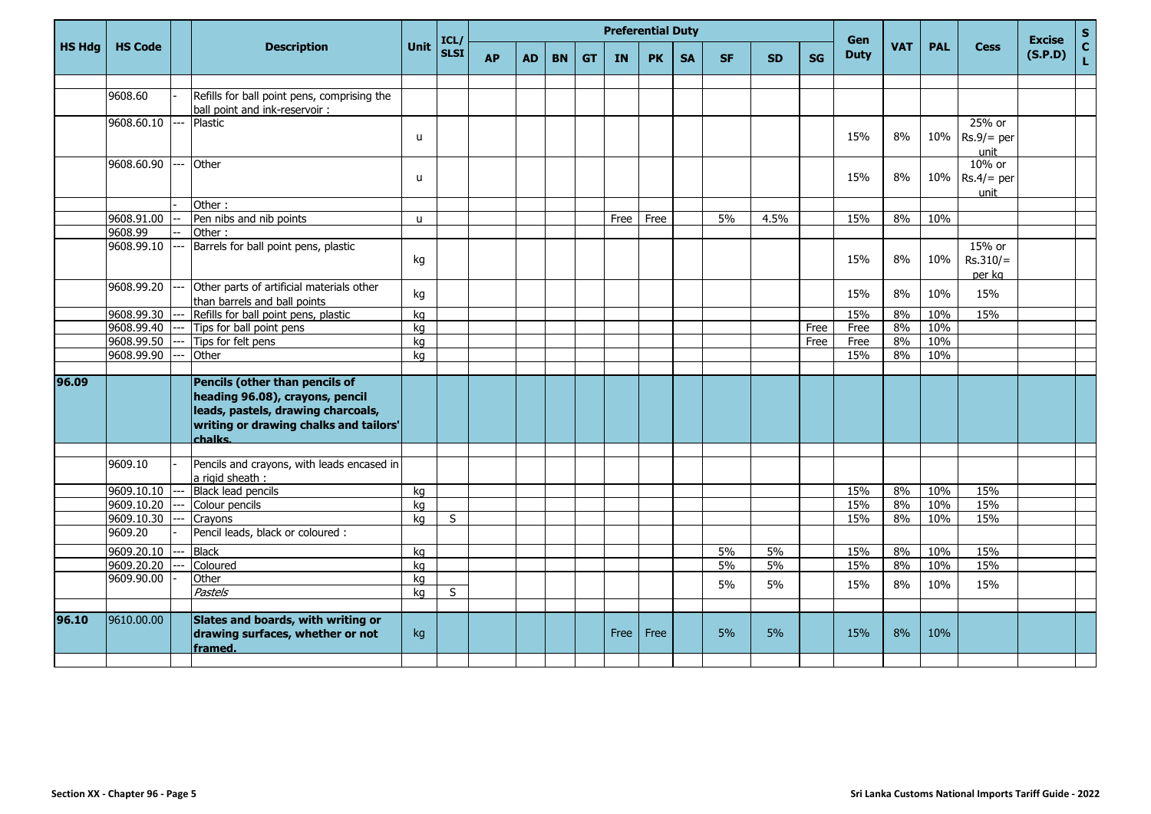|               |                 |       |                                                                                                                                                              |              | ICL/        |           |           |           |           | <b>Preferential Duty</b> |           |           |           |           |           | <b>Gen</b>  |            |            |                                | <b>Excise</b> | $\mathbf{s}$       |
|---------------|-----------------|-------|--------------------------------------------------------------------------------------------------------------------------------------------------------------|--------------|-------------|-----------|-----------|-----------|-----------|--------------------------|-----------|-----------|-----------|-----------|-----------|-------------|------------|------------|--------------------------------|---------------|--------------------|
| <b>HS Hdg</b> | <b>HS Code</b>  |       | <b>Description</b>                                                                                                                                           | Unit         | <b>SLSI</b> | <b>AP</b> | <b>AD</b> | <b>BN</b> | <b>GT</b> | <b>IN</b>                | <b>PK</b> | <b>SA</b> | <b>SF</b> | <b>SD</b> | <b>SG</b> | <b>Duty</b> | <b>VAT</b> | <b>PAL</b> | <b>Cess</b>                    | (S.P.D)       | $\mathbf{c}$<br>L. |
|               |                 |       |                                                                                                                                                              |              |             |           |           |           |           |                          |           |           |           |           |           |             |            |            |                                |               |                    |
|               | 9608.60         |       | Refills for ball point pens, comprising the                                                                                                                  |              |             |           |           |           |           |                          |           |           |           |           |           |             |            |            |                                |               |                    |
|               |                 |       | ball point and ink-reservoir :                                                                                                                               |              |             |           |           |           |           |                          |           |           |           |           |           |             |            |            |                                |               |                    |
|               | 9608.60.10      | Ξ.    | Plastic                                                                                                                                                      | $\mathsf{u}$ |             |           |           |           |           |                          |           |           |           |           |           | 15%         | 8%         | 10%        | 25% or<br>$Rs.9/=$ per<br>unit |               |                    |
|               | 9608.60.90      |       | Other                                                                                                                                                        | $\mathbf{u}$ |             |           |           |           |           |                          |           |           |           |           |           | 15%         | 8%         | 10%        | 10% or<br>$Rs.4/=$ per<br>unit |               |                    |
|               |                 |       | Other:                                                                                                                                                       |              |             |           |           |           |           |                          |           |           |           |           |           |             |            |            |                                |               |                    |
|               | $9608.91.00$ -- |       | Pen nibs and nib points                                                                                                                                      | $\mathsf{u}$ |             |           |           |           |           | Free                     | Free      |           | 5%        | 4.5%      |           | 15%         | 8%         | 10%        |                                |               |                    |
|               | 9608.99         |       | Other:                                                                                                                                                       |              |             |           |           |           |           |                          |           |           |           |           |           |             |            |            |                                |               |                    |
|               | 9608.99.10      | $---$ | Barrels for ball point pens, plastic                                                                                                                         | kg           |             |           |           |           |           |                          |           |           |           |           |           | 15%         | 8%         | 10%        | 15% or<br>$Rs.310/=$<br>per kg |               |                    |
|               | 9608.99.20      | $---$ | Other parts of artificial materials other<br>than barrels and ball points                                                                                    | kg           |             |           |           |           |           |                          |           |           |           |           |           | 15%         | 8%         | 10%        | 15%                            |               |                    |
|               | 9608.99.30      | $---$ | Refills for ball point pens, plastic                                                                                                                         | kg           |             |           |           |           |           |                          |           |           |           |           |           | 15%         | 8%         | 10%        | 15%                            |               |                    |
|               | 9608.99.40 ---  |       | Tips for ball point pens                                                                                                                                     | kg           |             |           |           |           |           |                          |           |           |           |           | Free      | Free        | 8%         | 10%        |                                |               |                    |
|               | 9608.99.50      | $---$ | Tips for felt pens                                                                                                                                           | ka           |             |           |           |           |           |                          |           |           |           |           | Free      | Free        | 8%         | 10%        |                                |               |                    |
|               | 9608.99.90      | ---   | Other                                                                                                                                                        | kg           |             |           |           |           |           |                          |           |           |           |           |           | 15%         | 8%         | 10%        |                                |               |                    |
| 96.09         |                 |       | Pencils (other than pencils of<br>heading 96.08), crayons, pencil<br>leads, pastels, drawing charcoals,<br>writing or drawing chalks and tailors'<br>chalks. |              |             |           |           |           |           |                          |           |           |           |           |           |             |            |            |                                |               |                    |
|               |                 |       |                                                                                                                                                              |              |             |           |           |           |           |                          |           |           |           |           |           |             |            |            |                                |               |                    |
|               | 9609.10         |       | Pencils and crayons, with leads encased in<br>a rigid sheath :                                                                                               |              |             |           |           |           |           |                          |           |           |           |           |           |             |            |            |                                |               |                    |
|               | 9609.10.10      | $---$ | Black lead pencils                                                                                                                                           | kg           |             |           |           |           |           |                          |           |           |           |           |           | 15%         | 8%         | 10%        | 15%                            |               |                    |
|               | 9609.10.20 ---  |       | Colour pencils                                                                                                                                               | ka           |             |           |           |           |           |                          |           |           |           |           |           | 15%         | 8%         | 10%        | 15%                            |               |                    |
|               | 9609.10.30      |       | Crayons                                                                                                                                                      | ka           | S           |           |           |           |           |                          |           |           |           |           |           | 15%         | 8%         | 10%        | 15%                            |               |                    |
|               | 9609.20         |       | Pencil leads, black or coloured :                                                                                                                            |              |             |           |           |           |           |                          |           |           |           |           |           |             |            |            |                                |               |                    |
|               | 9609.20.10      |       | <b>Black</b>                                                                                                                                                 | kg           |             |           |           |           |           |                          |           |           | 5%        | 5%        |           | 15%         | 8%         | 10%        | 15%                            |               |                    |
|               | 9609.20.20      |       | Coloured                                                                                                                                                     | ka           |             |           |           |           |           |                          |           |           | 5%        | 5%        |           | 15%         | 8%         | 10%        | 15%                            |               |                    |
|               | 9609.90.00      |       | Other                                                                                                                                                        | kg           |             |           |           |           |           |                          |           |           | 5%        | 5%        |           | 15%         | 8%         | 10%        | 15%                            |               |                    |
|               |                 |       | Pastels                                                                                                                                                      | ka           | S           |           |           |           |           |                          |           |           |           |           |           |             |            |            |                                |               |                    |
| 96.10         | 9610.00.00      |       | Slates and boards, with writing or<br>drawing surfaces, whether or not<br>framed.                                                                            | kg           |             |           |           |           |           | Free                     | Free      |           | 5%        | 5%        |           | 15%         | 8%         | 10%        |                                |               |                    |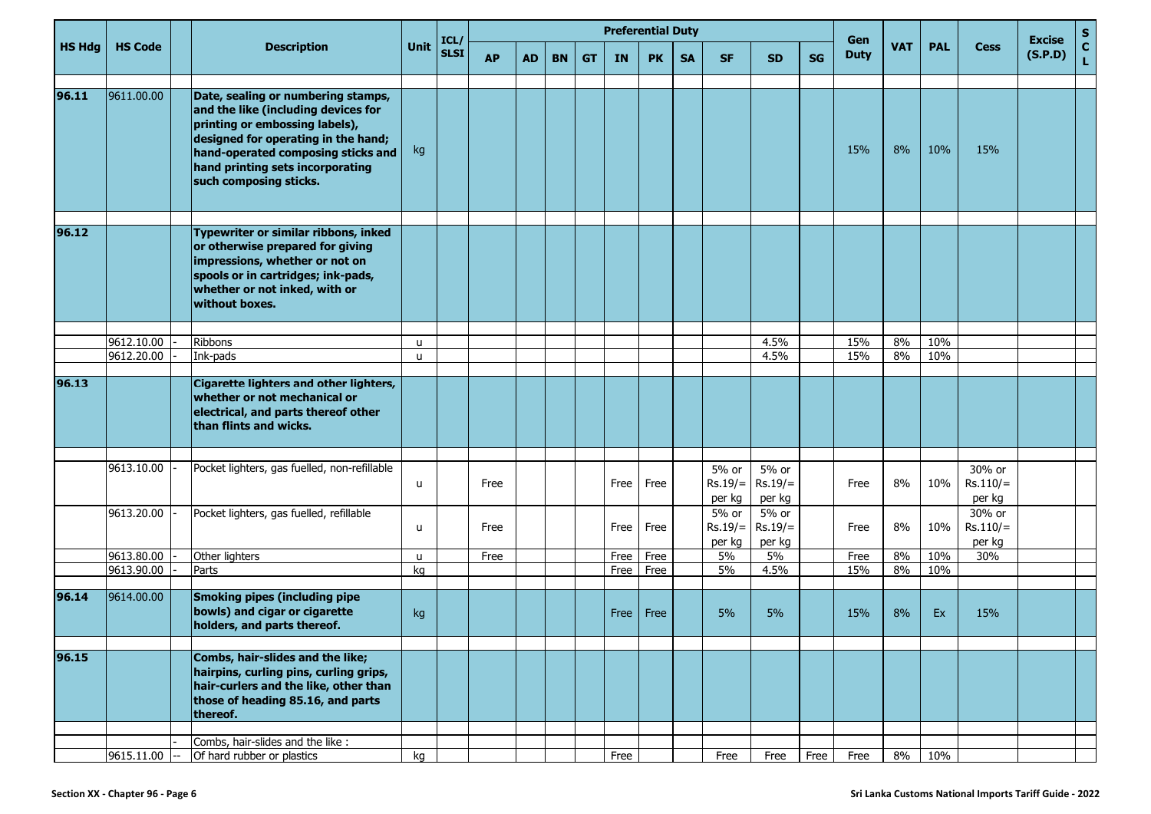|               |                 |                                                                                                                                                                                                                  |          | ICL/        |           |           |           |           |           | <b>Preferential Duty</b> |           |                                            |                              |           | Gen         |            |            |                                | <b>Excise</b> | $\frac{{\sf s}}{{\sf c}}$ |
|---------------|-----------------|------------------------------------------------------------------------------------------------------------------------------------------------------------------------------------------------------------------|----------|-------------|-----------|-----------|-----------|-----------|-----------|--------------------------|-----------|--------------------------------------------|------------------------------|-----------|-------------|------------|------------|--------------------------------|---------------|---------------------------|
| <b>HS Hdg</b> | <b>HS Code</b>  | <b>Description</b>                                                                                                                                                                                               | Unit     | <b>SLSI</b> | <b>AP</b> | <b>AD</b> | <b>BN</b> | <b>GT</b> | <b>IN</b> | <b>PK</b>                | <b>SA</b> | <b>SF</b>                                  | SD.                          | <b>SG</b> | <b>Duty</b> | <b>VAT</b> | <b>PAL</b> | <b>Cess</b>                    | (S.P.D)       | Ĺ.                        |
| 96.11         | 9611.00.00      | Date, sealing or numbering stamps,                                                                                                                                                                               |          |             |           |           |           |           |           |                          |           |                                            |                              |           |             |            |            |                                |               |                           |
|               |                 | and the like (including devices for<br>printing or embossing labels),<br>designed for operating in the hand;<br>hand-operated composing sticks and<br>hand printing sets incorporating<br>such composing sticks. | kg       |             |           |           |           |           |           |                          |           |                                            |                              |           | 15%         | 8%         | 10%        | 15%                            |               |                           |
|               |                 |                                                                                                                                                                                                                  |          |             |           |           |           |           |           |                          |           |                                            |                              |           |             |            |            |                                |               |                           |
| 96.12         |                 | Typewriter or similar ribbons, inked<br>or otherwise prepared for giving<br>impressions, whether or not on<br>spools or in cartridges; ink-pads,<br>whether or not inked, with or<br>without boxes.              |          |             |           |           |           |           |           |                          |           |                                            |                              |           |             |            |            |                                |               |                           |
|               |                 |                                                                                                                                                                                                                  |          |             |           |           |           |           |           |                          |           |                                            |                              |           |             |            |            |                                |               |                           |
|               | 9612.10.00      | Ribbons                                                                                                                                                                                                          | u        |             |           |           |           |           |           |                          |           |                                            | 4.5%<br>4.5%                 |           | 15%<br>15%  | 8%<br>8%   | 10%        |                                |               |                           |
|               | 9612.20.00      | Ink-pads                                                                                                                                                                                                         | <b>u</b> |             |           |           |           |           |           |                          |           |                                            |                              |           |             |            | 10%        |                                |               |                           |
| 96.13         |                 | Cigarette lighters and other lighters,<br>whether or not mechanical or<br>electrical, and parts thereof other<br>than flints and wicks.                                                                          |          |             |           |           |           |           |           |                          |           |                                            |                              |           |             |            |            |                                |               |                           |
|               |                 |                                                                                                                                                                                                                  |          |             |           |           |           |           |           |                          |           |                                            |                              |           |             |            |            |                                |               |                           |
|               | 9613.10.00      | Pocket lighters, gas fuelled, non-refillable                                                                                                                                                                     | u        |             | Free      |           |           |           | Free      | Free                     |           | 5% or<br>$Rs.19/ =$<br>per kg              | 5% or<br>$Rs.19/=$<br>per kg |           | Free        | 8%         | 10%        | 30% or<br>$Rs.110/=$<br>per kg |               |                           |
|               | 9613.20.00      | Pocket lighters, gas fuelled, refillable                                                                                                                                                                         | u        |             | Free      |           |           |           | Free      | Free                     |           | $\overline{5}$ % or<br>$Rs.19/=$<br>per kg | 5% or<br>$Rs.19/=$<br>per kg |           | Free        | 8%         | 10%        | 30% or<br>$Rs.110/=$<br>per kg |               |                           |
|               | 9613.80.00      | Other lighters                                                                                                                                                                                                   | u        |             | Free      |           |           |           | Free      | Free                     |           | 5%                                         | 5%                           |           | Free        | 8%         | 10%        | 30%                            |               |                           |
|               | 9613.90.00      | Parts                                                                                                                                                                                                            | kg       |             |           |           |           |           | Free      | Free                     |           | 5%                                         | 4.5%                         |           | 15%         | 8%         | 10%        |                                |               |                           |
| 96.14         | 9614.00.00      | <b>Smoking pipes (including pipe</b><br>bowls) and cigar or cigarette<br>holders, and parts thereof.                                                                                                             | kg       |             |           |           |           |           | Free      | Free                     |           | 5%                                         | 5%                           |           | 15%         | 8%         | Ex         | 15%                            |               |                           |
| 96.15         |                 | Combs, hair-slides and the like;                                                                                                                                                                                 |          |             |           |           |           |           |           |                          |           |                                            |                              |           |             |            |            |                                |               |                           |
|               |                 | hairpins, curling pins, curling grips,<br>hair-curlers and the like, other than<br>those of heading 85.16, and parts<br>thereof.                                                                                 |          |             |           |           |           |           |           |                          |           |                                            |                              |           |             |            |            |                                |               |                           |
|               |                 |                                                                                                                                                                                                                  |          |             |           |           |           |           |           |                          |           |                                            |                              |           |             |            |            |                                |               |                           |
|               | $9615.11.00$ -- | Combs, hair-slides and the like :<br>Of hard rubber or plastics                                                                                                                                                  | kg       |             |           |           |           |           | Free      |                          |           | Free                                       | Free                         | Free      | Free        | 8%         | 10%        |                                |               |                           |
|               |                 |                                                                                                                                                                                                                  |          |             |           |           |           |           |           |                          |           |                                            |                              |           |             |            |            |                                |               |                           |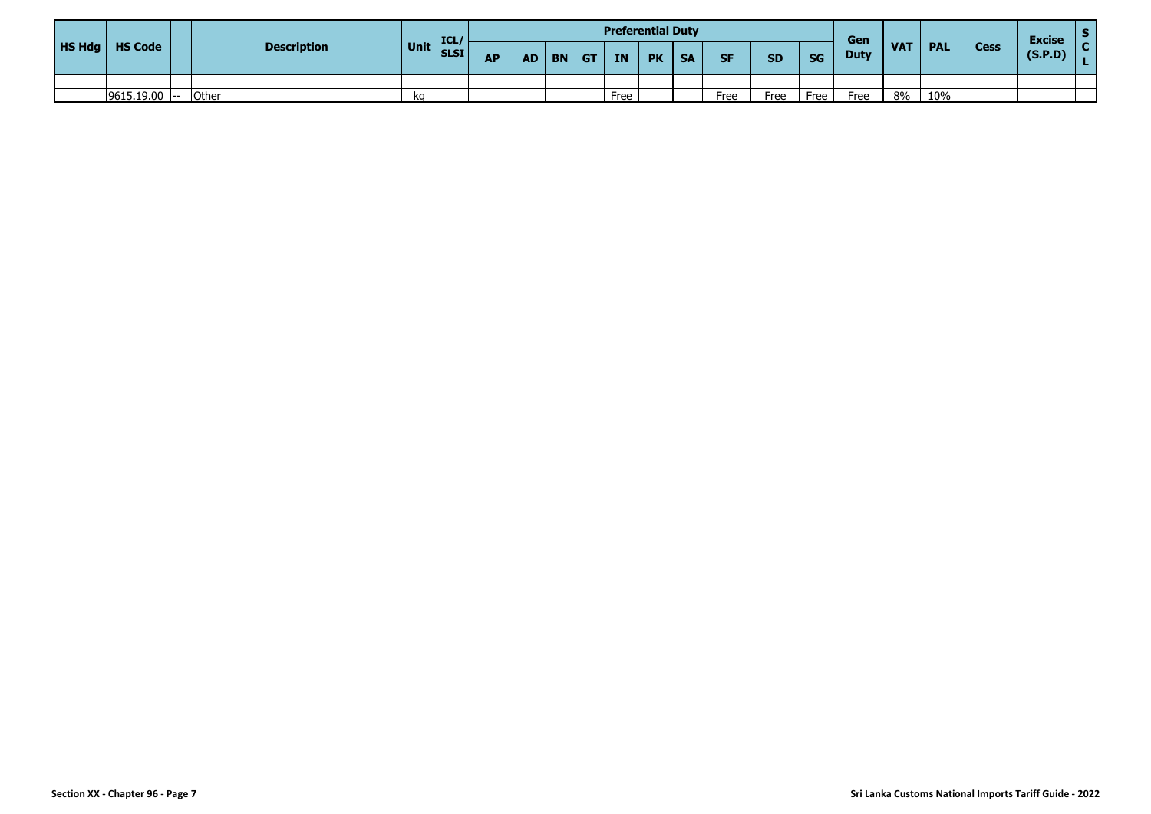|        |                 |                    |      | <b>I ICL</b> |           |           |           |           | <b>Preferential Duty</b> |           |           |           |           |           | Gen         |            |            |             | <b>Excise</b> |  |
|--------|-----------------|--------------------|------|--------------|-----------|-----------|-----------|-----------|--------------------------|-----------|-----------|-----------|-----------|-----------|-------------|------------|------------|-------------|---------------|--|
| HS Hdg | <b>HS Code</b>  | <b>Description</b> | Unit | SLSI         | <b>AP</b> | <b>AD</b> | <b>BN</b> | <b>GT</b> | <b>IN</b>                | <b>PK</b> | <b>SA</b> | <b>SF</b> | <b>SD</b> | <b>SG</b> | <b>Duty</b> | <b>VAT</b> | <b>PAL</b> | <b>Cess</b> | (S.P.D)       |  |
|        |                 |                    |      |              |           |           |           |           |                          |           |           |           |           |           |             |            |            |             |               |  |
|        | $9615.19.00$ -- | Other              | kq   |              |           |           |           |           | Free                     |           |           | Free      | Free      | Free      | Free        | 8%         | 10%        |             |               |  |